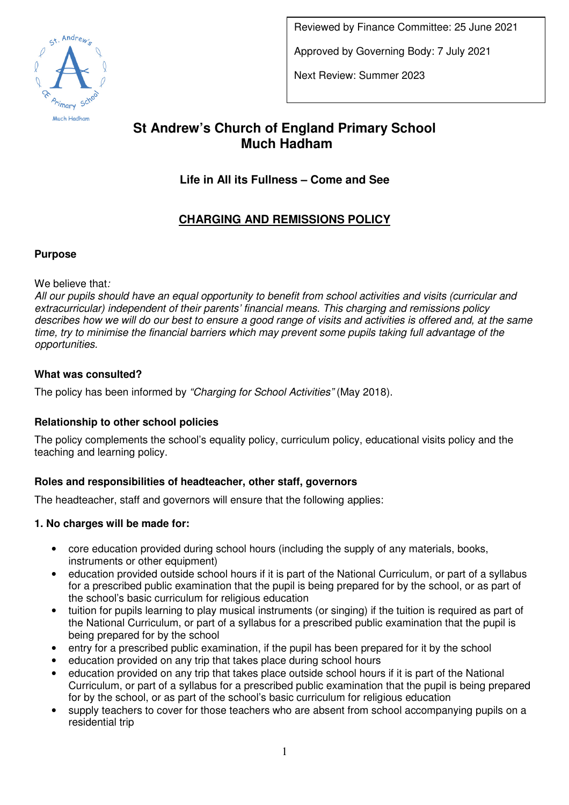

Reviewed by Finance Committee: 25 June 2021

Approved by Governing Body: 7 July 2021

Next Review: Summer 2023

# **St Andrew's Church of England Primary School Much Hadham**

## **Life in All its Fullness – Come and See**

## **CHARGING AND REMISSIONS POLICY**

## **Purpose**

We believe that:

All our pupils should have an equal opportunity to benefit from school activities and visits (curricular and extracurricular) independent of their parents' financial means. This charging and remissions policy describes how we will do our best to ensure a good range of visits and activities is offered and, at the same time, try to minimise the financial barriers which may prevent some pupils taking full advantage of the opportunities.

## **What was consulted?**

The policy has been informed by "Charging for School Activities" (May 2018).

## **Relationship to other school policies**

The policy complements the school's equality policy, curriculum policy, educational visits policy and the teaching and learning policy.

## **Roles and responsibilities of headteacher, other staff, governors**

The headteacher, staff and governors will ensure that the following applies:

## **1. No charges will be made for:**

- core education provided during school hours (including the supply of any materials, books, instruments or other equipment)
- education provided outside school hours if it is part of the National Curriculum, or part of a syllabus for a prescribed public examination that the pupil is being prepared for by the school, or as part of the school's basic curriculum for religious education
- tuition for pupils learning to play musical instruments (or singing) if the tuition is required as part of the National Curriculum, or part of a syllabus for a prescribed public examination that the pupil is being prepared for by the school
- entry for a prescribed public examination, if the pupil has been prepared for it by the school
- education provided on any trip that takes place during school hours
- education provided on any trip that takes place outside school hours if it is part of the National Curriculum, or part of a syllabus for a prescribed public examination that the pupil is being prepared for by the school, or as part of the school's basic curriculum for religious education
- supply teachers to cover for those teachers who are absent from school accompanying pupils on a residential trip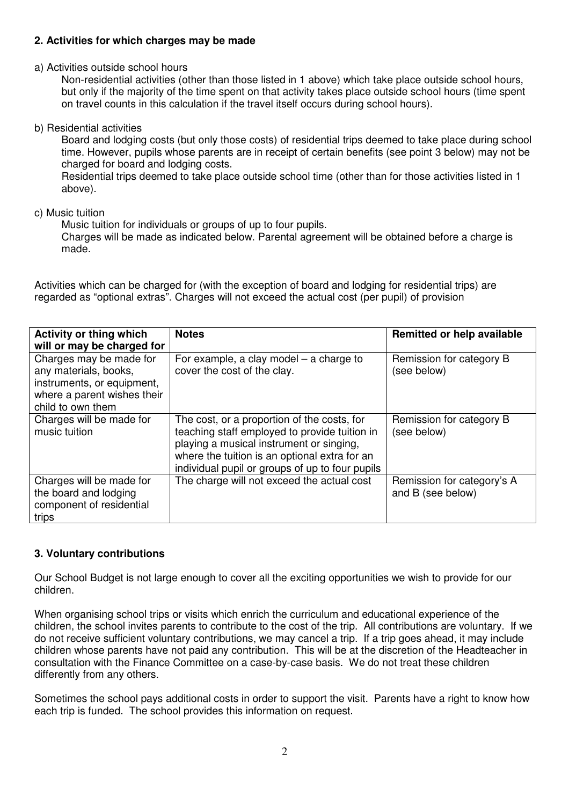### **2. Activities for which charges may be made**

a) Activities outside school hours

Non-residential activities (other than those listed in 1 above) which take place outside school hours, but only if the majority of the time spent on that activity takes place outside school hours (time spent on travel counts in this calculation if the travel itself occurs during school hours).

b) Residential activities

Board and lodging costs (but only those costs) of residential trips deemed to take place during school time. However, pupils whose parents are in receipt of certain benefits (see point 3 below) may not be charged for board and lodging costs.

Residential trips deemed to take place outside school time (other than for those activities listed in 1 above).

#### c) Music tuition

Music tuition for individuals or groups of up to four pupils.

Charges will be made as indicated below. Parental agreement will be obtained before a charge is made.

Activities which can be charged for (with the exception of board and lodging for residential trips) are regarded as "optional extras". Charges will not exceed the actual cost (per pupil) of provision

| <b>Activity or thing which</b><br>will or may be charged for                                                                       | <b>Notes</b>                                                                                                                                                                                                                                 | <b>Remitted or help available</b>               |
|------------------------------------------------------------------------------------------------------------------------------------|----------------------------------------------------------------------------------------------------------------------------------------------------------------------------------------------------------------------------------------------|-------------------------------------------------|
| Charges may be made for<br>any materials, books,<br>instruments, or equipment,<br>where a parent wishes their<br>child to own them | For example, a clay model $-$ a charge to<br>cover the cost of the clay.                                                                                                                                                                     | Remission for category B<br>(see below)         |
| Charges will be made for<br>music tuition                                                                                          | The cost, or a proportion of the costs, for<br>teaching staff employed to provide tuition in<br>playing a musical instrument or singing,<br>where the tuition is an optional extra for an<br>individual pupil or groups of up to four pupils | Remission for category B<br>(see below)         |
| Charges will be made for<br>the board and lodging<br>component of residential<br>trips                                             | The charge will not exceed the actual cost                                                                                                                                                                                                   | Remission for category's A<br>and B (see below) |

### **3. Voluntary contributions**

Our School Budget is not large enough to cover all the exciting opportunities we wish to provide for our children.

When organising school trips or visits which enrich the curriculum and educational experience of the children, the school invites parents to contribute to the cost of the trip. All contributions are voluntary. If we do not receive sufficient voluntary contributions, we may cancel a trip. If a trip goes ahead, it may include children whose parents have not paid any contribution. This will be at the discretion of the Headteacher in consultation with the Finance Committee on a case-by-case basis. We do not treat these children differently from any others.

Sometimes the school pays additional costs in order to support the visit. Parents have a right to know how each trip is funded. The school provides this information on request.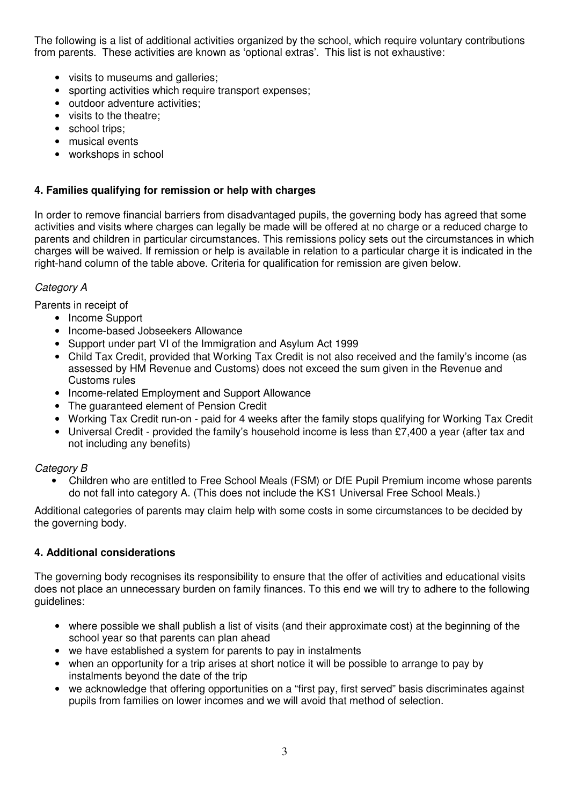The following is a list of additional activities organized by the school, which require voluntary contributions from parents. These activities are known as 'optional extras'. This list is not exhaustive:

- visits to museums and galleries:
- sporting activities which require transport expenses;
- outdoor adventure activities:
- visits to the theatre;
- school trips;
- musical events
- workshops in school

#### **4. Families qualifying for remission or help with charges**

In order to remove financial barriers from disadvantaged pupils, the governing body has agreed that some activities and visits where charges can legally be made will be offered at no charge or a reduced charge to parents and children in particular circumstances. This remissions policy sets out the circumstances in which charges will be waived. If remission or help is available in relation to a particular charge it is indicated in the right-hand column of the table above. Criteria for qualification for remission are given below.

#### Category A

Parents in receipt of

- Income Support
- Income-based Jobseekers Allowance
- Support under part VI of the Immigration and Asylum Act 1999
- Child Tax Credit, provided that Working Tax Credit is not also received and the family's income (as assessed by HM Revenue and Customs) does not exceed the sum given in the Revenue and Customs rules
- Income-related Employment and Support Allowance
- The guaranteed element of Pension Credit
- Working Tax Credit run-on paid for 4 weeks after the family stops qualifying for Working Tax Credit
- Universal Credit provided the family's household income is less than £7,400 a year (after tax and not including any benefits)

#### Category B

• Children who are entitled to Free School Meals (FSM) or DfE Pupil Premium income whose parents do not fall into category A. (This does not include the KS1 Universal Free School Meals.)

Additional categories of parents may claim help with some costs in some circumstances to be decided by the governing body.

#### **4. Additional considerations**

The governing body recognises its responsibility to ensure that the offer of activities and educational visits does not place an unnecessary burden on family finances. To this end we will try to adhere to the following guidelines:

- where possible we shall publish a list of visits (and their approximate cost) at the beginning of the school year so that parents can plan ahead
- we have established a system for parents to pay in instalments
- when an opportunity for a trip arises at short notice it will be possible to arrange to pay by instalments beyond the date of the trip
- we acknowledge that offering opportunities on a "first pay, first served" basis discriminates against pupils from families on lower incomes and we will avoid that method of selection.